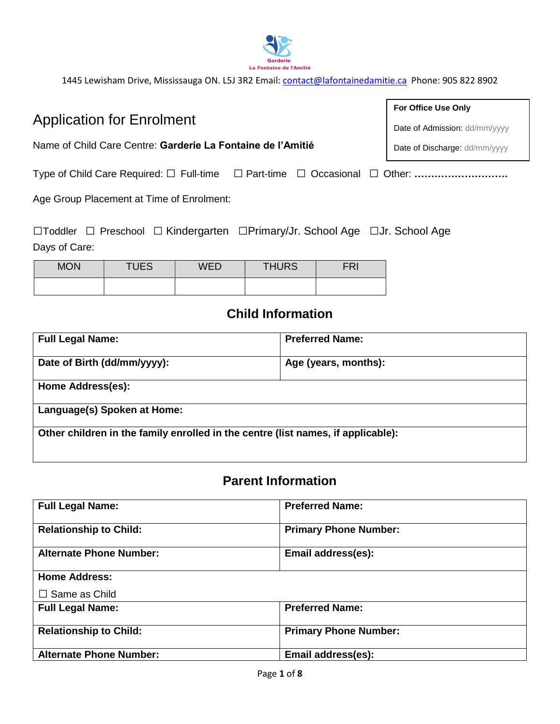

Name of Child Care Centre: **Garderie La Fontaine de l'Amitié**

Type of Child Care Required: □ Full-time □ Part-time □ Occasional □ Other: **……………………….**

Age Group Placement at Time of Enrolment:

Application for Enrolment

□Toddler □ Preschool □ Kindergarten □Primary/Jr. School Age □Jr. School Age Days of Care:

| <b>MON</b> | <b>TUES</b> | WED | <b>THURS</b> | $\sim$ |
|------------|-------------|-----|--------------|--------|
|            |             |     |              |        |

## **Child Information**

| <b>Full Legal Name:</b>                                                          | <b>Preferred Name:</b> |  |
|----------------------------------------------------------------------------------|------------------------|--|
| Date of Birth (dd/mm/yyyy):                                                      | Age (years, months):   |  |
| Home Address(es):                                                                |                        |  |
| Language(s) Spoken at Home:                                                      |                        |  |
| Other children in the family enrolled in the centre (list names, if applicable): |                        |  |

### **Parent Information**

| <b>Full Legal Name:</b>        | <b>Preferred Name:</b>       |  |
|--------------------------------|------------------------------|--|
| <b>Relationship to Child:</b>  | <b>Primary Phone Number:</b> |  |
| <b>Alternate Phone Number:</b> | Email address(es):           |  |
| <b>Home Address:</b>           |                              |  |
| $\Box$ Same as Child           |                              |  |
| <b>Full Legal Name:</b>        | <b>Preferred Name:</b>       |  |
| <b>Relationship to Child:</b>  | <b>Primary Phone Number:</b> |  |
| <b>Alternate Phone Number:</b> | Email address(es):           |  |

**For Office Use Only**

Date of Admission: dd/mm/yyyy

Date of Discharge: dd/mm/yyyy

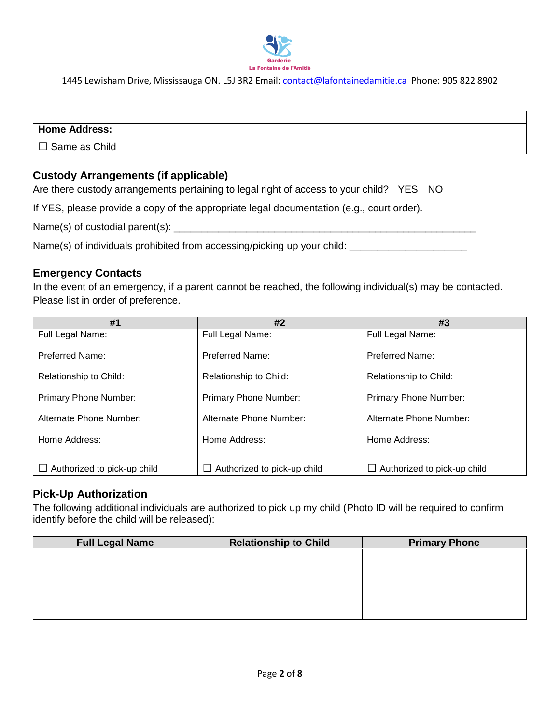

#### **Home Address:**

□ Same as Child

#### **Custody Arrangements (if applicable)**

Are there custody arrangements pertaining to legal right of access to your child? YES NO

If YES, please provide a copy of the appropriate legal documentation (e.g., court order).

Name(s) of custodial parent(s):

Name(s) of individuals prohibited from accessing/picking up your child: \_\_\_\_\_\_\_\_\_\_\_\_\_\_\_

#### **Emergency Contacts**

In the event of an emergency, if a parent cannot be reached, the following individual(s) may be contacted. Please list in order of preference.

| #1                           | #2                                    | #3                                    |
|------------------------------|---------------------------------------|---------------------------------------|
| Full Legal Name:             | Full Legal Name:                      | Full Legal Name:                      |
| <b>Preferred Name:</b>       | Preferred Name:                       | Preferred Name:                       |
| Relationship to Child:       | Relationship to Child:                | Relationship to Child:                |
| <b>Primary Phone Number:</b> | <b>Primary Phone Number:</b>          | <b>Primary Phone Number:</b>          |
| Alternate Phone Number:      | Alternate Phone Number:               | Alternate Phone Number:               |
| Home Address:                | Home Address:                         | Home Address:                         |
| Authorized to pick-up child  | Authorized to pick-up child<br>$\Box$ | Authorized to pick-up child<br>$\Box$ |

#### **Pick-Up Authorization**

The following additional individuals are authorized to pick up my child (Photo ID will be required to confirm identify before the child will be released):

| <b>Full Legal Name</b> | <b>Relationship to Child</b> | <b>Primary Phone</b> |
|------------------------|------------------------------|----------------------|
|                        |                              |                      |
|                        |                              |                      |
|                        |                              |                      |
|                        |                              |                      |
|                        |                              |                      |
|                        |                              |                      |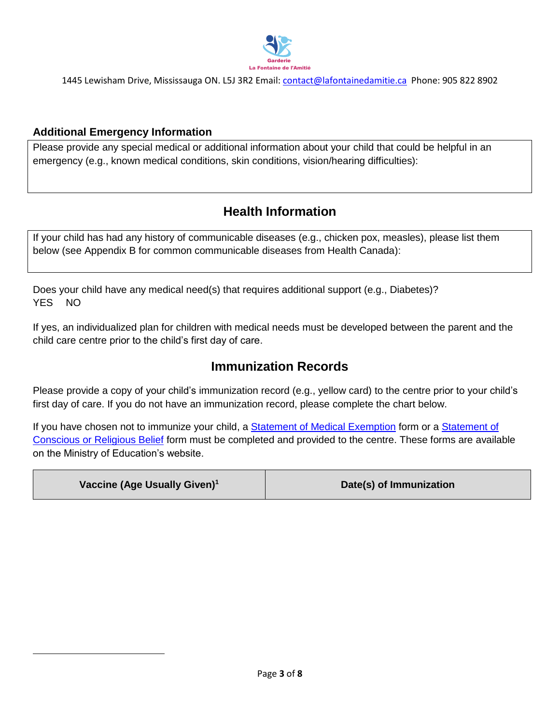

#### **Additional Emergency Information**

 $\overline{a}$ 

Please provide any special medical or additional information about your child that could be helpful in an emergency (e.g., known medical conditions, skin conditions, vision/hearing difficulties):

### **Health Information**

If your child has had any history of communicable diseases (e.g., chicken pox, measles), please list them below (see Appendix B for common communicable diseases from Health Canada):

Does your child have any medical need(s) that requires additional support (e.g., Diabetes)? YES NO

If yes, an individualized plan for children with medical needs must be developed between the parent and the child care centre prior to the child's first day of care.

### **Immunization Records**

Please provide a copy of your child's immunization record (e.g., yellow card) to the centre prior to your child's first day of care. If you do not have an immunization record, please complete the chart below.

If you have chosen not to immunize your child, a [Statement of Medical Exemption](http://www.forms.ssb.gov.on.ca/mbs/ssb/forms/ssbforms.nsf/FormDetail?OpenForm&ACT=RDR&TAB=PROFILE&SRCH=1&ENV=WWE&TIT=medical+exemption&NO=010-3041E) form or a Statement of [Conscious or Religious Belief](http://www.forms.ssb.gov.on.ca/mbs/ssb/forms/ssbforms.nsf/FormDetail?OpenForm&ACT=RDR&TAB=PROFILE&SRCH=1&ENV=WWE&TIT=religious+belief&NO=010-3042E) form must be completed and provided to the centre. These forms are available on the Ministry of Education's website.

| Vaccine (Age Usually Given) <sup>1</sup> | Date(s) of Immunization |
|------------------------------------------|-------------------------|
|------------------------------------------|-------------------------|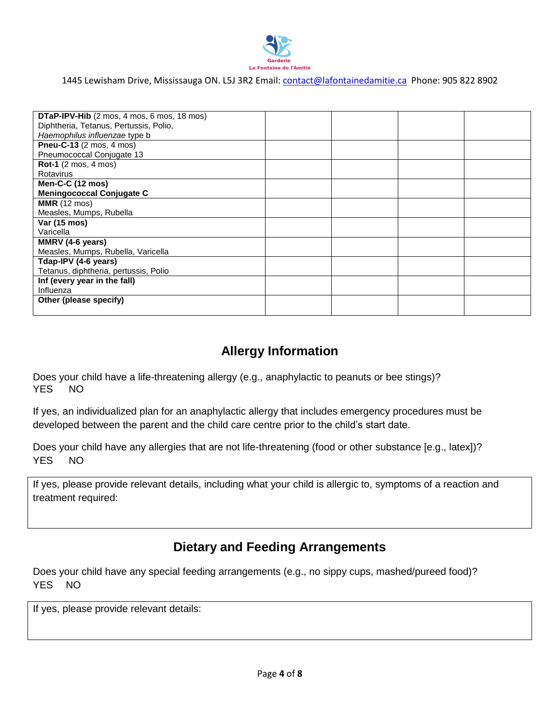

| DTaP-IPV-Hib (2 mos, 4 mos, 6 mos, 18 mos) |  |  |
|--------------------------------------------|--|--|
| Diphtheria, Tetanus, Pertussis, Polio,     |  |  |
| Haemophilus influenzae type b              |  |  |
| Pneu-C-13 (2 mos, 4 mos)                   |  |  |
| Pneumococcal Conjugate 13                  |  |  |
| <b>Rot-1</b> (2 mos, 4 mos)                |  |  |
| Rotavirus                                  |  |  |
| Men-C-C $(12 \text{ mos})$                 |  |  |
| <b>Meningococcal Conjugate C</b>           |  |  |
| <b>MMR</b> (12 mos)                        |  |  |
| Measles, Mumps, Rubella                    |  |  |
| Var (15 mos)                               |  |  |
| Varicella                                  |  |  |
| MMRV (4-6 years)                           |  |  |
| Measles, Mumps, Rubella, Varicella         |  |  |
| Tdap-IPV (4-6 years)                       |  |  |
| Tetanus, diphtheria, pertussis, Polio      |  |  |
| Inf (every year in the fall)               |  |  |
| Influenza                                  |  |  |
| Other (please specify)                     |  |  |
|                                            |  |  |

### **Allergy Information**

Does your child have a life-threatening allergy (e.g., anaphylactic to peanuts or bee stings)? YES NO

If yes, an individualized plan for an anaphylactic allergy that includes emergency procedures must be developed between the parent and the child care centre prior to the child's start date.

Does your child have any allergies that are not life-threatening (food or other substance [e.g., latex])? YES NO

If yes, please provide relevant details, including what your child is allergic to, symptoms of a reaction and treatment required:

### **Dietary and Feeding Arrangements**

Does your child have any special feeding arrangements (e.g., no sippy cups, mashed/pureed food)? YES NO

If yes, please provide relevant details: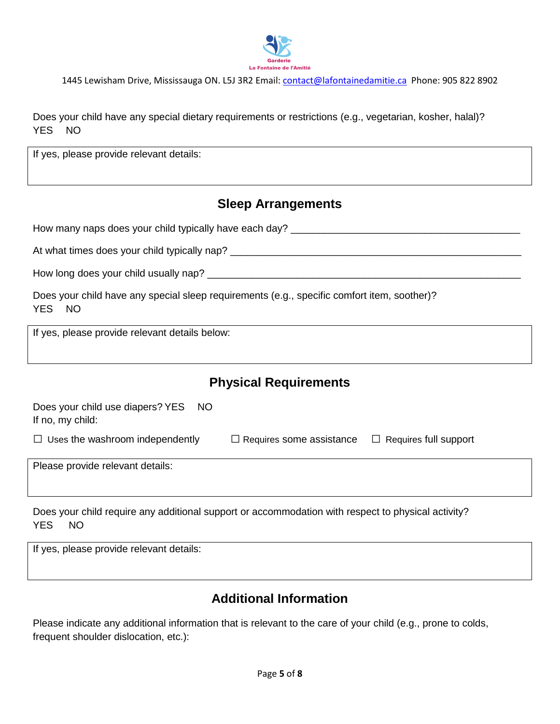

Does your child have any special dietary requirements or restrictions (e.g., vegetarian, kosher, halal)? YES NO

If yes, please provide relevant details:

### **Sleep Arrangements**

How many naps does your child typically have each day? \_\_\_\_\_\_\_\_\_\_\_\_\_\_\_\_\_\_\_\_\_\_\_\_\_\_

At what times does your child typically nap? \_\_\_\_\_\_\_\_\_\_\_\_\_\_\_\_\_\_\_\_\_\_\_\_\_\_\_\_\_\_\_\_\_\_\_\_\_\_\_\_\_\_\_\_\_\_\_\_\_\_\_\_

How long does your child usually nap? \_\_\_\_\_\_\_\_\_\_\_\_\_\_\_\_\_\_\_\_\_\_\_\_\_\_\_\_\_\_\_\_\_\_\_\_\_\_\_\_\_\_\_\_\_\_\_\_\_\_\_\_\_\_\_\_

|        |  | Does your child have any special sleep requirements (e.g., specific comfort item, soother)? |  |
|--------|--|---------------------------------------------------------------------------------------------|--|
| YES NO |  |                                                                                             |  |

If yes, please provide relevant details below:

### **Physical Requirements**

| Does your child use diapers? YES NO<br>If no, my child: |                                                              |  |
|---------------------------------------------------------|--------------------------------------------------------------|--|
| $\Box$ Uses the washroom independently                  | $\Box$ Requires some assistance $\Box$ Requires full support |  |
| Please provide relevant details:                        |                                                              |  |

Does your child require any additional support or accommodation with respect to physical activity? YES NO

If yes, please provide relevant details:

### **Additional Information**

Please indicate any additional information that is relevant to the care of your child (e.g., prone to colds, frequent shoulder dislocation, etc.):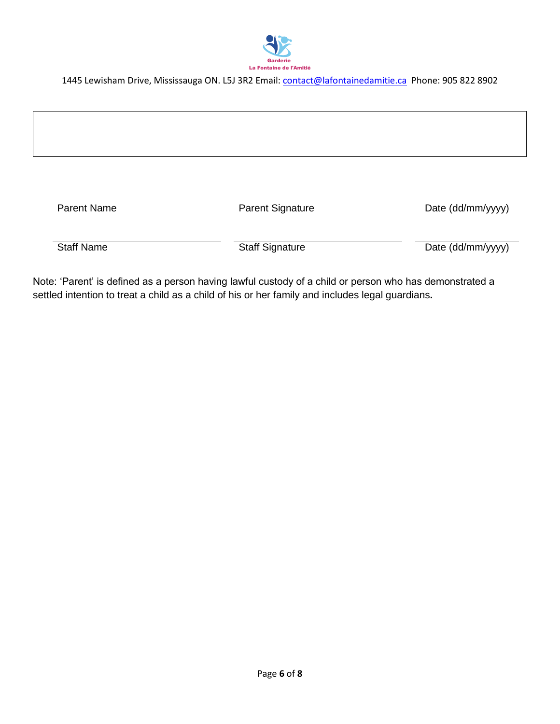

1445 Lewisham Drive, Mississauga ON. L5J 3R2 Email: *contact@lafontainedamitie.ca* Phone: 905 822 8902

| <b>Parent Name</b> | <b>Parent Signature</b> | Date (dd/mm/yyyy) |
|--------------------|-------------------------|-------------------|
| <b>Staff Name</b>  | <b>Staff Signature</b>  | Date (dd/mm/yyyy) |

Note: 'Parent' is defined as a person having lawful custody of a child or person who has demonstrated a settled intention to treat a child as a child of his or her family and includes legal guardians**.**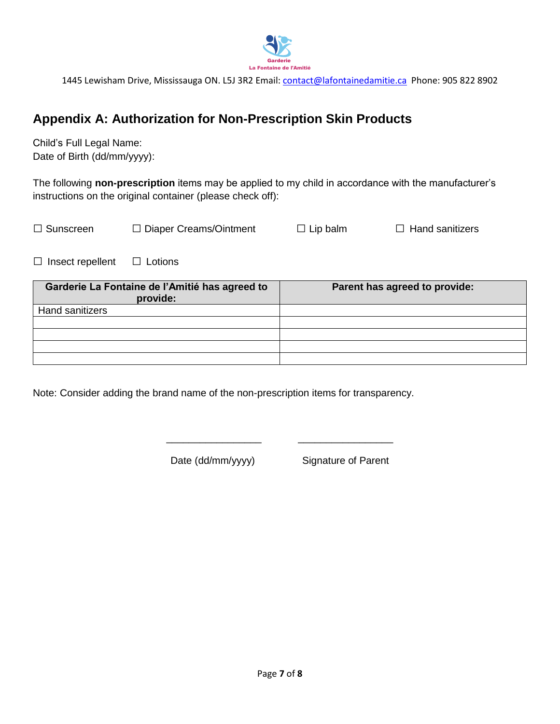

1445 Lewisham Drive, Mississauga ON. L5J 3R2 Email: *contact@lafontainedamitie.ca Phone: 905 822 8902* 

### **Appendix A: Authorization for Non-Prescription Skin Products**

Child's Full Legal Name: Date of Birth (dd/mm/yyyy):

The following **non-prescription** items may be applied to my child in accordance with the manufacturer's instructions on the original container (please check off):

| $\Box$ Sunscreen | $\Box$ Diaper Creams/Ointment | $\Box$ Lip balm | $\Box$ Hand sanitizers |
|------------------|-------------------------------|-----------------|------------------------|
|                  |                               |                 |                        |

□ Insect repellent □ Lotions

| Garderie La Fontaine de l'Amitié has agreed to<br>provide: | Parent has agreed to provide: |
|------------------------------------------------------------|-------------------------------|
| Hand sanitizers                                            |                               |
|                                                            |                               |
|                                                            |                               |
|                                                            |                               |
|                                                            |                               |

\_\_\_\_\_\_\_\_\_\_\_\_\_\_\_\_\_ \_\_\_\_\_\_\_\_\_\_\_\_\_\_\_\_\_

Note: Consider adding the brand name of the non-prescription items for transparency.

Date (dd/mm/yyyy) Signature of Parent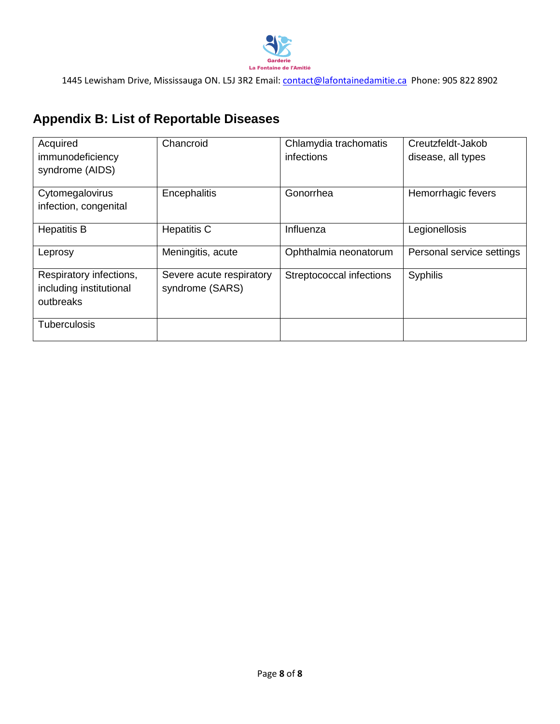

1445 Lewisham Drive, Mississauga ON. L5J 3R2 Email: *contact@lafontainedamitie.ca* Phone: 905 822 8902

# **Appendix B: List of Reportable Diseases**

| Acquired                | Chancroid                | Chlamydia trachomatis    | Creutzfeldt-Jakob         |
|-------------------------|--------------------------|--------------------------|---------------------------|
| immunodeficiency        |                          | infections               | disease, all types        |
| syndrome (AIDS)         |                          |                          |                           |
| Cytomegalovirus         | Encephalitis             | Gonorrhea                | Hemorrhagic fevers        |
| infection, congenital   |                          |                          |                           |
| <b>Hepatitis B</b>      | <b>Hepatitis C</b>       | Influenza                | Legionellosis             |
| Leprosy                 | Meningitis, acute        | Ophthalmia neonatorum    | Personal service settings |
| Respiratory infections, | Severe acute respiratory | Streptococcal infections | <b>Syphilis</b>           |
| including institutional | syndrome (SARS)          |                          |                           |
| outbreaks               |                          |                          |                           |
| <b>Tuberculosis</b>     |                          |                          |                           |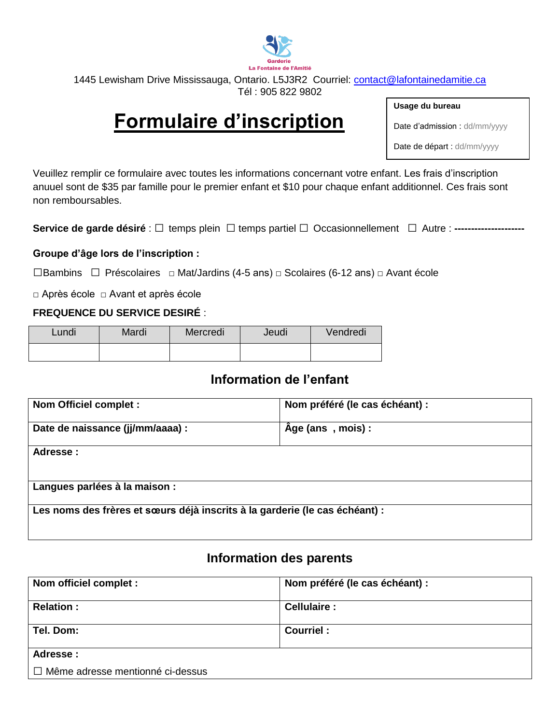

# **Formulaire d'inscription**

**Usage du bureau**

Date d'admission : dd/mm/yyyy

Date de départ : dd/mm/yyyy

Veuillez remplir ce formulaire avec toutes les informations concernant votre enfant. Les frais d'inscription anuuel sont de \$35 par famille pour le premier enfant et \$10 pour chaque enfant additionnel. Ces frais sont non remboursables.

Service de garde désiré : □ temps plein □ temps partiel □ Occasionnellement □ Autre : ------

#### **Groupe d'âge lors de l'inscription :**

□Bambins □ Préscolaires □ Mat/Jardins (4-5 ans) □ Scolaires (6-12 ans) □ Avant école

□ Après école □ Avant et après école

#### **FREQUENCE DU SERVICE DESIRÉ** :

| Lundi | Mardi | Mercredi | Jeudi | Vendredi |
|-------|-------|----------|-------|----------|
|       |       |          |       |          |

### **Information de l'enfant**

| Nom Officiel complet :                                                      | Nom préféré (le cas échéant) : |  |
|-----------------------------------------------------------------------------|--------------------------------|--|
| Date de naissance (jj/mm/aaaa) :                                            | Age (ans, mois):               |  |
| Adresse:                                                                    |                                |  |
|                                                                             |                                |  |
| Langues parlées à la maison :                                               |                                |  |
| Les noms des frères et sœurs déjà inscrits à la garderie (le cas échéant) : |                                |  |

### **Information des parents**

| Nom officiel complet :                  | Nom préféré (le cas échéant) : |
|-----------------------------------------|--------------------------------|
| <b>Relation:</b>                        | Cellulaire :                   |
| Tel. Dom:                               | Courriel:                      |
| Adresse:                                |                                |
| $\Box$ Même adresse mentionné ci-dessus |                                |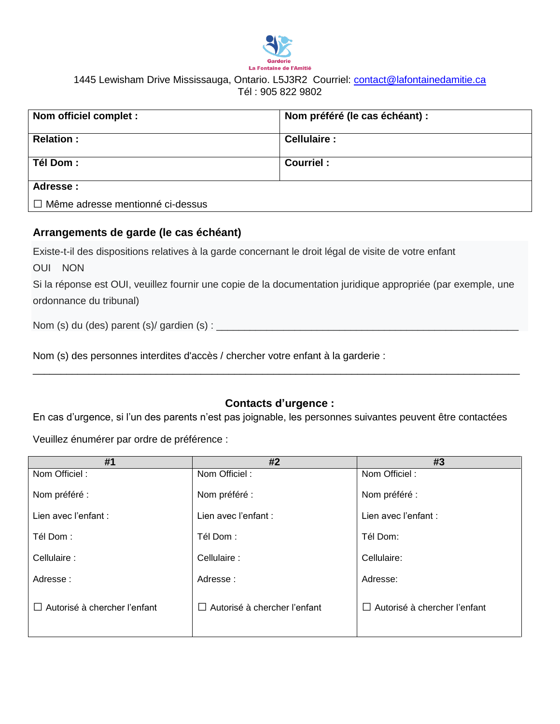

| Nom officiel complet :                  | Nom préféré (le cas échéant) : |
|-----------------------------------------|--------------------------------|
| <b>Relation:</b>                        | Cellulaire:                    |
| <b>Tél Dom :</b>                        | Courriel:                      |
| Adresse:                                |                                |
| $\Box$ Même adresse mentionné ci-dessus |                                |

#### **Arrangements de garde (le cas échéant)**

Existe-t-il des dispositions relatives à la garde concernant le droit légal de visite de votre enfant

OUI NON

Si la réponse est OUI, veuillez fournir une copie de la documentation juridique appropriée (par exemple, une ordonnance du tribunal)

Nom (s) du (des) parent (s)/ gardien (s) : \_\_\_\_\_\_\_\_\_\_\_\_\_\_\_\_\_\_\_\_\_\_\_\_\_\_\_\_\_\_\_\_\_\_\_\_\_\_\_\_\_\_\_\_\_\_\_\_\_\_\_\_\_\_

Nom (s) des personnes interdites d'accès / chercher votre enfant à la garderie :

#### **Contacts d'urgence :**

\_\_\_\_\_\_\_\_\_\_\_\_\_\_\_\_\_\_\_\_\_\_\_\_\_\_\_\_\_\_\_\_\_\_\_\_\_\_\_\_\_\_\_\_\_\_\_\_\_\_\_\_\_\_\_\_\_\_\_\_\_\_\_\_\_\_\_\_\_\_\_\_\_\_\_\_\_\_\_\_\_\_\_\_\_\_\_

En cas d'urgence, si l'un des parents n'est pas joignable, les personnes suivantes peuvent être contactées

Veuillez énumérer par ordre de préférence :

| #1                                  | #2                                  | #3                                     |
|-------------------------------------|-------------------------------------|----------------------------------------|
| Nom Officiel:                       | Nom Officiel:                       | Nom Officiel:                          |
| Nom préféré :                       | Nom préféré :                       | Nom préféré :                          |
| Lien avec l'enfant :                | Lien avec l'enfant :                | Lien avec l'enfant :                   |
| Tél Dom:                            | Tél Dom:                            | Tél Dom:                               |
| Cellulaire :                        | Cellulaire :                        | Cellulaire:                            |
| Adresse:                            | Adresse:                            | Adresse:                               |
| $\Box$ Autorisé à chercher l'enfant | $\Box$ Autorisé à chercher l'enfant | Autorisé à chercher l'enfant<br>$\Box$ |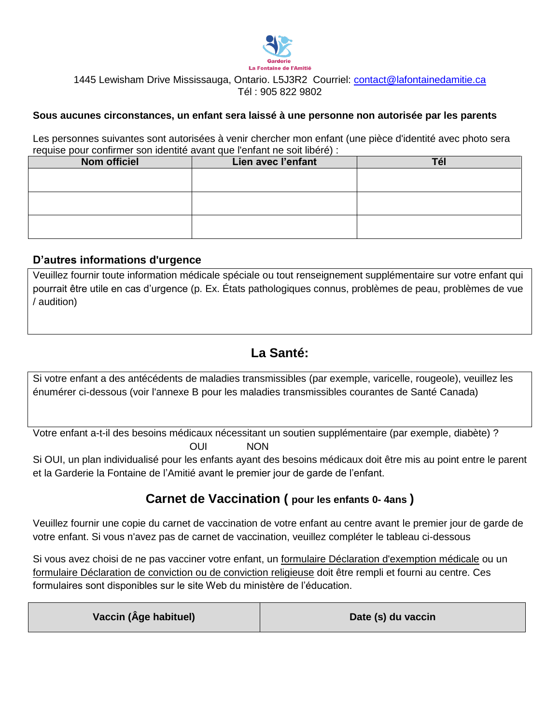

#### **Sous aucunes circonstances, un enfant sera laissé à une personne non autorisée par les parents**

Les personnes suivantes sont autorisées à venir chercher mon enfant (une pièce d'identité avec photo sera requise pour confirmer son identité avant que l'enfant ne soit libéré) :

| Nom officiel | Lien avec l'enfant | l el |
|--------------|--------------------|------|
|              |                    |      |
|              |                    |      |
|              |                    |      |
|              |                    |      |
|              |                    |      |
|              |                    |      |

#### **D'autres informations d'urgence**

Veuillez fournir toute information médicale spéciale ou tout renseignement supplémentaire sur votre enfant qui pourrait être utile en cas d'urgence (p. Ex. États pathologiques connus, problèmes de peau, problèmes de vue / audition)

### **La Santé:**

Si votre enfant a des antécédents de maladies transmissibles (par exemple, varicelle, rougeole), veuillez les énumérer ci-dessous (voir l'annexe B pour les maladies transmissibles courantes de Santé Canada)

Votre enfant a-t-il des besoins médicaux nécessitant un soutien supplémentaire (par exemple, diabète) ? OUI NON

Si OUI, un plan individualisé pour les enfants ayant des besoins médicaux doit être mis au point entre le parent et la Garderie la Fontaine de l'Amitié avant le premier jour de garde de l'enfant.

### **Carnet de Vaccination ( pour les enfants 0- 4ans )**

Veuillez fournir une copie du carnet de vaccination de votre enfant au centre avant le premier jour de garde de votre enfant. Si vous n'avez pas de carnet de vaccination, veuillez compléter le tableau ci-dessous

Si vous avez choisi de ne pas vacciner votre enfant, un formulaire Déclaration d'exemption médicale ou un formulaire Déclaration de conviction ou de conviction religieuse doit être rempli et fourni au centre. Ces formulaires sont disponibles sur le site Web du ministère de l'éducation.

| Vaccin (Âge habituel) | Date (s) du vaccin |
|-----------------------|--------------------|
|-----------------------|--------------------|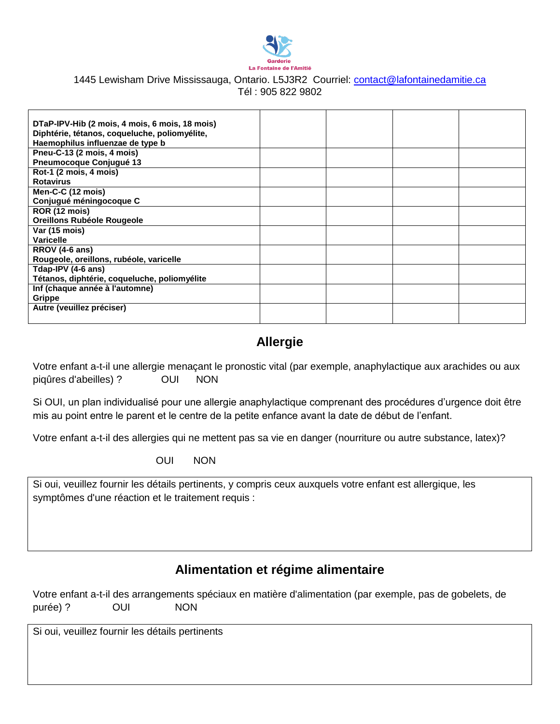

| DTaP-IPV-Hib (2 mois, 4 mois, 6 mois, 18 mois) |  |  |
|------------------------------------------------|--|--|
| Diphtérie, tétanos, coqueluche, poliomyélite,  |  |  |
| Haemophilus influenzae de type b               |  |  |
| Pneu-C-13 (2 mois, 4 mois)                     |  |  |
| Pneumocoque Conjugué 13                        |  |  |
| Rot-1 (2 mois, 4 mois)                         |  |  |
| <b>Rotavirus</b>                               |  |  |
| Men-C-C (12 mois)                              |  |  |
| Conjugué méningocoque C                        |  |  |
| ROR (12 mois)                                  |  |  |
| Oreillons Rubéole Rougeole                     |  |  |
| Var (15 mois)                                  |  |  |
| Varicelle                                      |  |  |
| RROV (4-6 ans)                                 |  |  |
| Rougeole, oreillons, rubéole, varicelle        |  |  |
| Tdap-IPV (4-6 ans)                             |  |  |
| Tétanos, diphtérie, coqueluche, poliomyélite   |  |  |
| Inf (chaque année à l'automne)                 |  |  |
| Grippe                                         |  |  |
| Autre (veuillez préciser)                      |  |  |
|                                                |  |  |

# **Allergie**

Votre enfant a-t-il une allergie menaçant le pronostic vital (par exemple, anaphylactique aux arachides ou aux piqûres d'abeilles) ? OUI NON

Si OUI, un plan individualisé pour une allergie anaphylactique comprenant des procédures d'urgence doit être mis au point entre le parent et le centre de la petite enfance avant la date de début de l'enfant.

Votre enfant a-t-il des allergies qui ne mettent pas sa vie en danger (nourriture ou autre substance, latex)?

OUI NON

Si oui, veuillez fournir les détails pertinents, y compris ceux auxquels votre enfant est allergique, les symptômes d'une réaction et le traitement requis :

### **Alimentation et régime alimentaire**

|          |            |            | Votre enfant a-t-il des arrangements spéciaux en matière d'alimentation (par exemple, pas de gobelets, de |  |
|----------|------------|------------|-----------------------------------------------------------------------------------------------------------|--|
| purée) ? | <b>OUI</b> | <b>NON</b> |                                                                                                           |  |

Si oui, veuillez fournir les détails pertinents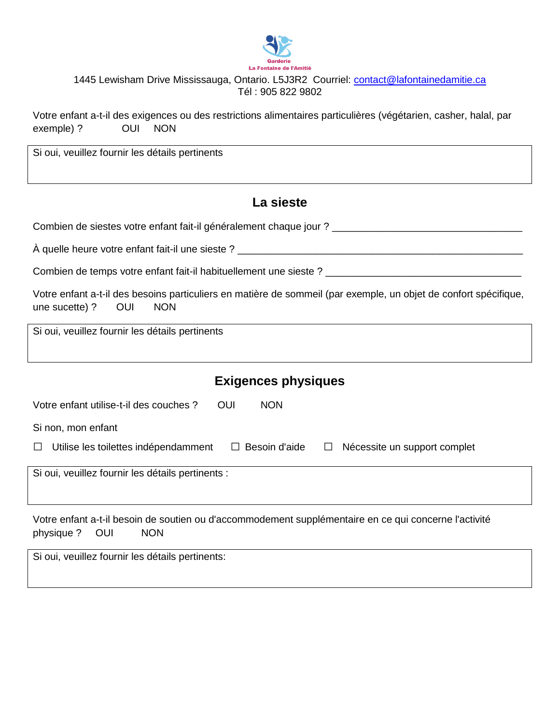

Votre enfant a-t-il des exigences ou des restrictions alimentaires particulières (végétarien, casher, halal, par exemple) ? OUI NON

Si oui, veuillez fournir les détails pertinents

### **La sieste**

Combien de siestes votre enfant fait-il généralement chaque jour ? \_\_\_\_\_\_\_\_\_\_\_\_\_\_\_\_\_\_\_\_\_\_\_\_\_\_\_\_\_\_\_\_\_\_

À quelle heure votre enfant fait-il une sieste ? \_\_\_\_\_\_\_\_\_\_\_\_\_\_\_\_\_\_\_\_\_\_\_\_\_\_\_\_\_\_\_\_\_\_\_\_\_\_\_\_\_\_\_\_\_\_\_\_\_\_\_

Combien de temps votre enfant fait-il habituellement une sieste ? \_\_\_\_\_\_\_\_\_\_\_\_\_\_\_\_\_\_\_\_\_\_\_\_\_\_\_\_\_\_\_\_\_\_\_

| Votre enfant a-t-il des besoins particuliers en matière de sommeil (par exemple, un objet de confort spécifique, |  |  |  |  |  |
|------------------------------------------------------------------------------------------------------------------|--|--|--|--|--|
| une sucette) ? OUI NON                                                                                           |  |  |  |  |  |

Si oui, veuillez fournir les détails pertinents

### **Exigences physiques**

| Votre enfant utilise-t-il des couches?<br>OUI<br><b>NON</b>                                                              |                                   |
|--------------------------------------------------------------------------------------------------------------------------|-----------------------------------|
| Si non, mon enfant                                                                                                       |                                   |
| Utilise les toilettes indépendamment<br>$\Box$ Besoin d'aide<br>$\perp$                                                  | Nécessite un support complet<br>⊔ |
| Si oui, veuillez fournir les détails pertinents :                                                                        |                                   |
|                                                                                                                          |                                   |
| Alema and and a filling the discussion and discussions discuss a condition of the action of a consideration distribution |                                   |

Votre enfant a-t-il besoin de soutien ou d'accommodement supplémentaire en ce qui concerne l'activité physique ? OUI NON

Si oui, veuillez fournir les détails pertinents: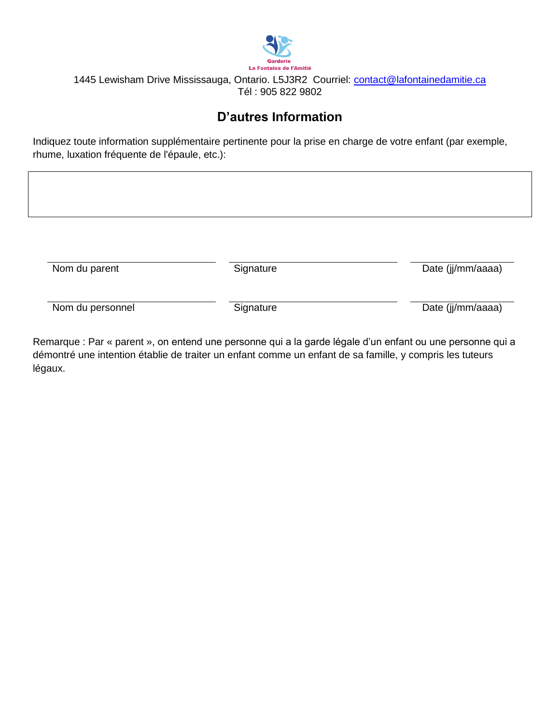

# **D'autres Information**

Indiquez toute information supplémentaire pertinente pour la prise en charge de votre enfant (par exemple, rhume, luxation fréquente de l'épaule, etc.):

| Nom du parent<br>Signature | Date (jj/mm/aaaa) |
|----------------------------|-------------------|

Remarque : Par « parent », on entend une personne qui a la garde légale d'un enfant ou une personne qui a démontré une intention établie de traiter un enfant comme un enfant de sa famille, y compris les tuteurs légaux.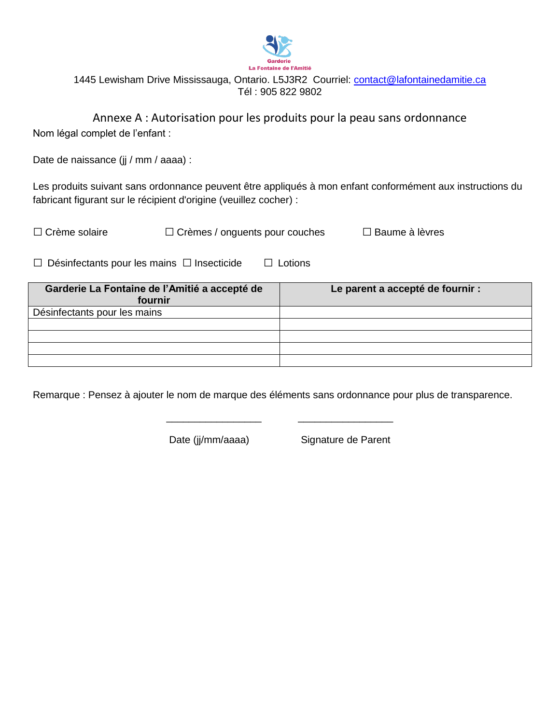

Annexe A : Autorisation pour les produits pour la peau sans ordonnance Nom légal complet de l'enfant :

Date de naissance (jj / mm / aaaa) :

Les produits suivant sans ordonnance peuvent être appliqués à mon enfant conformément aux instructions du fabricant figurant sur le récipient d'origine (veuillez cocher) :

| $\Box$ Crème solaire | $\Box$ Crèmes / onguents pour couches | $\Box$ Baume à lèvres |
|----------------------|---------------------------------------|-----------------------|
|                      |                                       |                       |

 $\Box$  Désinfectants pour les mains  $\Box$  Insecticide  $\Box$  Lotions

| Garderie La Fontaine de l'Amitié a accepté de<br>fournir | Le parent a accepté de fournir : |
|----------------------------------------------------------|----------------------------------|
| Désinfectants pour les mains                             |                                  |
|                                                          |                                  |
|                                                          |                                  |
|                                                          |                                  |
|                                                          |                                  |

Remarque : Pensez à ajouter le nom de marque des éléments sans ordonnance pour plus de transparence.

\_\_\_\_\_\_\_\_\_\_\_\_\_\_\_\_\_ \_\_\_\_\_\_\_\_\_\_\_\_\_\_\_\_\_

Date (jj/mm/aaaa) Signature de Parent